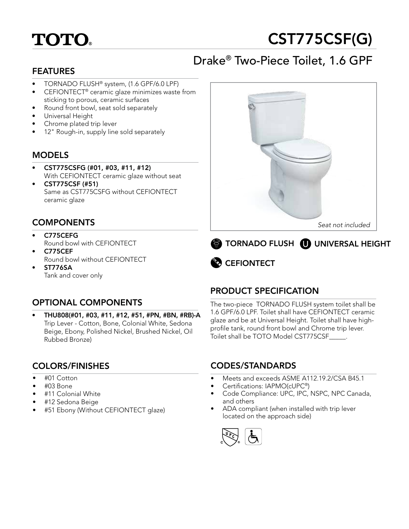# **TOTO.**

# CST775CSF(G)

# Drake® Two-Piece Toilet, 1.6 GPF

### FEATURES

- TORNADO FLUSH® system, (1.6 GPF/6.0 LPF)
- CEFIONTECT® ceramic glaze minimizes waste from sticking to porous, ceramic surfaces
- Round front bowl, seat sold separately
- Universal Height
- Chrome plated trip lever
- 12" Rough-in, supply line sold separately

#### MODELS

- CST775CSFG (#01, #03, #11, #12) With CEFIONTECT ceramic glaze without seat
- CST775CSF (#51) Same as CST775CSFG without CEFIONTECT ceramic glaze

#### **COMPONENTS**

- C775CEFG Round bowl with CEFIONTECT
- C775CEF Round bowl without CEFIONTECT
- ST776SA Tank and cover only

## OPTIONAL COMPONENTS

• THU808(#01, #03, #11, #12, #51, #PN, #BN, #RB)-A Trip Lever - Cotton, Bone, Colonial White, Sedona Beige, Ebony, Polished Nickel, Brushed Nickel, Oil Rubbed Bronze)

#### COLORS/FINISHES

- #01 Cotton
- #03 Bone
- #11 Colonial White
- #12 Sedona Beige
- #51 Ebony (Without CEFIONTECT glaze)







## PRODUCT SPECIFICATION

The two-piece TORNADO FLUSH system toilet shall be 1.6 GPF/6.0 LPF. Toilet shall have CEFIONTECT ceramic glaze and be at Universal Height. Toilet shall have highprofile tank, round front bowl and Chrome trip lever. Toilet shall be TOTO Model CST775CSF\_\_\_\_\_.

#### CODES/STANDARDS

- Meets and exceeds ASME A112.19.2/CSA B45.1
- Certifications: IAPMO(cUPC®)
- Code Compliance: UPC, IPC, NSPC, NPC Canada, and others
- ADA compliant (when installed with trip lever located on the approach side)